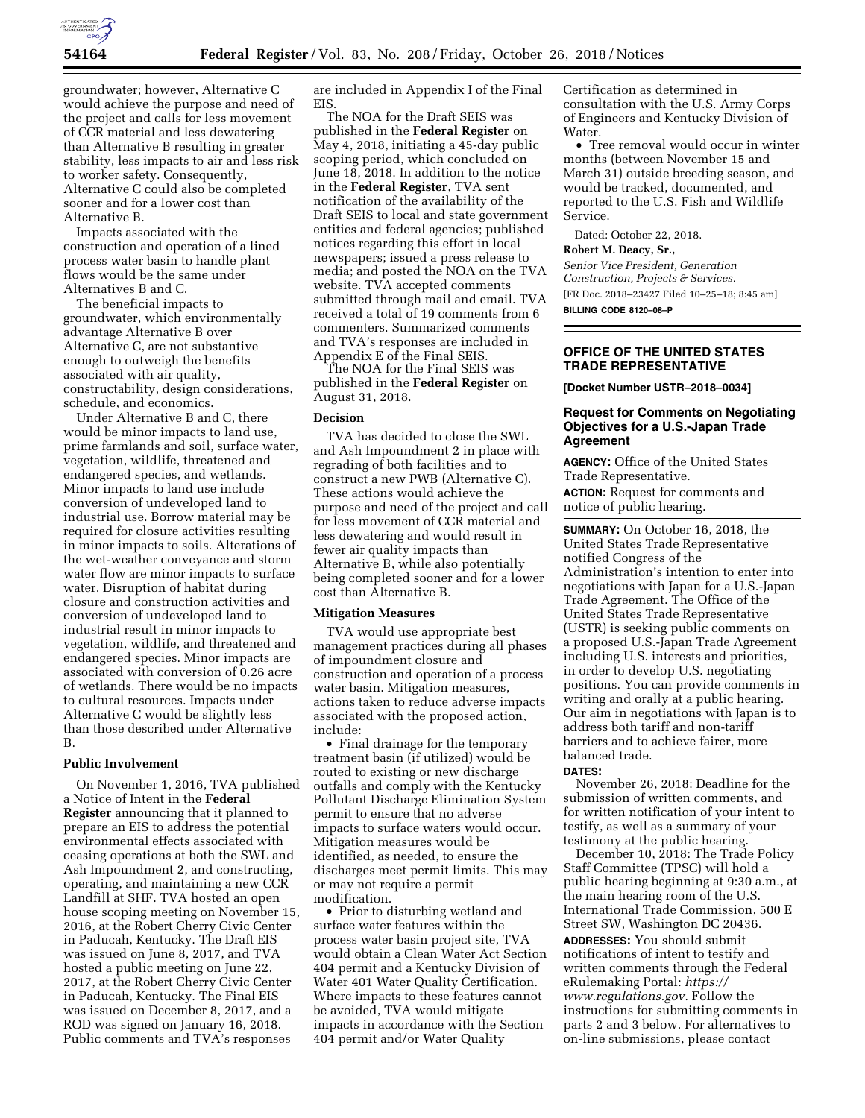

groundwater; however, Alternative C would achieve the purpose and need of the project and calls for less movement of CCR material and less dewatering than Alternative B resulting in greater stability, less impacts to air and less risk to worker safety. Consequently, Alternative C could also be completed sooner and for a lower cost than Alternative B.

Impacts associated with the construction and operation of a lined process water basin to handle plant flows would be the same under Alternatives B and C.

The beneficial impacts to groundwater, which environmentally advantage Alternative B over Alternative C, are not substantive enough to outweigh the benefits associated with air quality, constructability, design considerations, schedule, and economics.

Under Alternative B and C, there would be minor impacts to land use, prime farmlands and soil, surface water, vegetation, wildlife, threatened and endangered species, and wetlands. Minor impacts to land use include conversion of undeveloped land to industrial use. Borrow material may be required for closure activities resulting in minor impacts to soils. Alterations of the wet-weather conveyance and storm water flow are minor impacts to surface water. Disruption of habitat during closure and construction activities and conversion of undeveloped land to industrial result in minor impacts to vegetation, wildlife, and threatened and endangered species. Minor impacts are associated with conversion of 0.26 acre of wetlands. There would be no impacts to cultural resources. Impacts under Alternative C would be slightly less than those described under Alternative B.

## **Public Involvement**

On November 1, 2016, TVA published a Notice of Intent in the **Federal Register** announcing that it planned to prepare an EIS to address the potential environmental effects associated with ceasing operations at both the SWL and Ash Impoundment 2, and constructing, operating, and maintaining a new CCR Landfill at SHF. TVA hosted an open house scoping meeting on November 15, 2016, at the Robert Cherry Civic Center in Paducah, Kentucky. The Draft EIS was issued on June 8, 2017, and TVA hosted a public meeting on June 22, 2017, at the Robert Cherry Civic Center in Paducah, Kentucky. The Final EIS was issued on December 8, 2017, and a ROD was signed on January 16, 2018. Public comments and TVA's responses

are included in Appendix I of the Final EIS.

The NOA for the Draft SEIS was published in the **Federal Register** on May 4, 2018, initiating a 45-day public scoping period, which concluded on June 18, 2018. In addition to the notice in the **Federal Register**, TVA sent notification of the availability of the Draft SEIS to local and state government entities and federal agencies; published notices regarding this effort in local newspapers; issued a press release to media; and posted the NOA on the TVA website. TVA accepted comments submitted through mail and email. TVA received a total of 19 comments from 6 commenters. Summarized comments and TVA's responses are included in Appendix E of the Final SEIS.

The NOA for the Final SEIS was published in the **Federal Register** on August 31, 2018.

## **Decision**

TVA has decided to close the SWL and Ash Impoundment 2 in place with regrading of both facilities and to construct a new PWB (Alternative C). These actions would achieve the purpose and need of the project and call for less movement of CCR material and less dewatering and would result in fewer air quality impacts than Alternative B, while also potentially being completed sooner and for a lower cost than Alternative B.

#### **Mitigation Measures**

TVA would use appropriate best management practices during all phases of impoundment closure and construction and operation of a process water basin. Mitigation measures, actions taken to reduce adverse impacts associated with the proposed action, include:

• Final drainage for the temporary treatment basin (if utilized) would be routed to existing or new discharge outfalls and comply with the Kentucky Pollutant Discharge Elimination System permit to ensure that no adverse impacts to surface waters would occur. Mitigation measures would be identified, as needed, to ensure the discharges meet permit limits. This may or may not require a permit modification.

• Prior to disturbing wetland and surface water features within the process water basin project site, TVA would obtain a Clean Water Act Section 404 permit and a Kentucky Division of Water 401 Water Quality Certification. Where impacts to these features cannot be avoided, TVA would mitigate impacts in accordance with the Section 404 permit and/or Water Quality

Certification as determined in consultation with the U.S. Army Corps of Engineers and Kentucky Division of Water.

• Tree removal would occur in winter months (between November 15 and March 31) outside breeding season, and would be tracked, documented, and reported to the U.S. Fish and Wildlife Service.

Dated: October 22, 2018.

# **Robert M. Deacy, Sr.,**

*Senior Vice President, Generation Construction, Projects & Services.*  [FR Doc. 2018–23427 Filed 10–25–18; 8:45 am]

**BILLING CODE 8120–08–P** 

## **OFFICE OF THE UNITED STATES TRADE REPRESENTATIVE**

**[Docket Number USTR–2018–0034]** 

## **Request for Comments on Negotiating Objectives for a U.S.-Japan Trade Agreement**

**AGENCY:** Office of the United States Trade Representative.

**ACTION:** Request for comments and notice of public hearing.

**SUMMARY:** On October 16, 2018, the United States Trade Representative notified Congress of the Administration's intention to enter into negotiations with Japan for a U.S.-Japan Trade Agreement. The Office of the United States Trade Representative (USTR) is seeking public comments on a proposed U.S.-Japan Trade Agreement including U.S. interests and priorities, in order to develop U.S. negotiating positions. You can provide comments in writing and orally at a public hearing. Our aim in negotiations with Japan is to address both tariff and non-tariff barriers and to achieve fairer, more balanced trade.

#### **DATES:**

November 26, 2018: Deadline for the submission of written comments, and for written notification of your intent to testify, as well as a summary of your testimony at the public hearing.

December 10, 2018: The Trade Policy Staff Committee (TPSC) will hold a public hearing beginning at 9:30 a.m., at the main hearing room of the U.S. International Trade Commission, 500 E Street SW, Washington DC 20436. **ADDRESSES:** You should submit notifications of intent to testify and written comments through the Federal eRulemaking Portal: *[https://](https://www.regulations.gov) [www.regulations.gov.](https://www.regulations.gov)* Follow the instructions for submitting comments in parts 2 and 3 below. For alternatives to on-line submissions, please contact